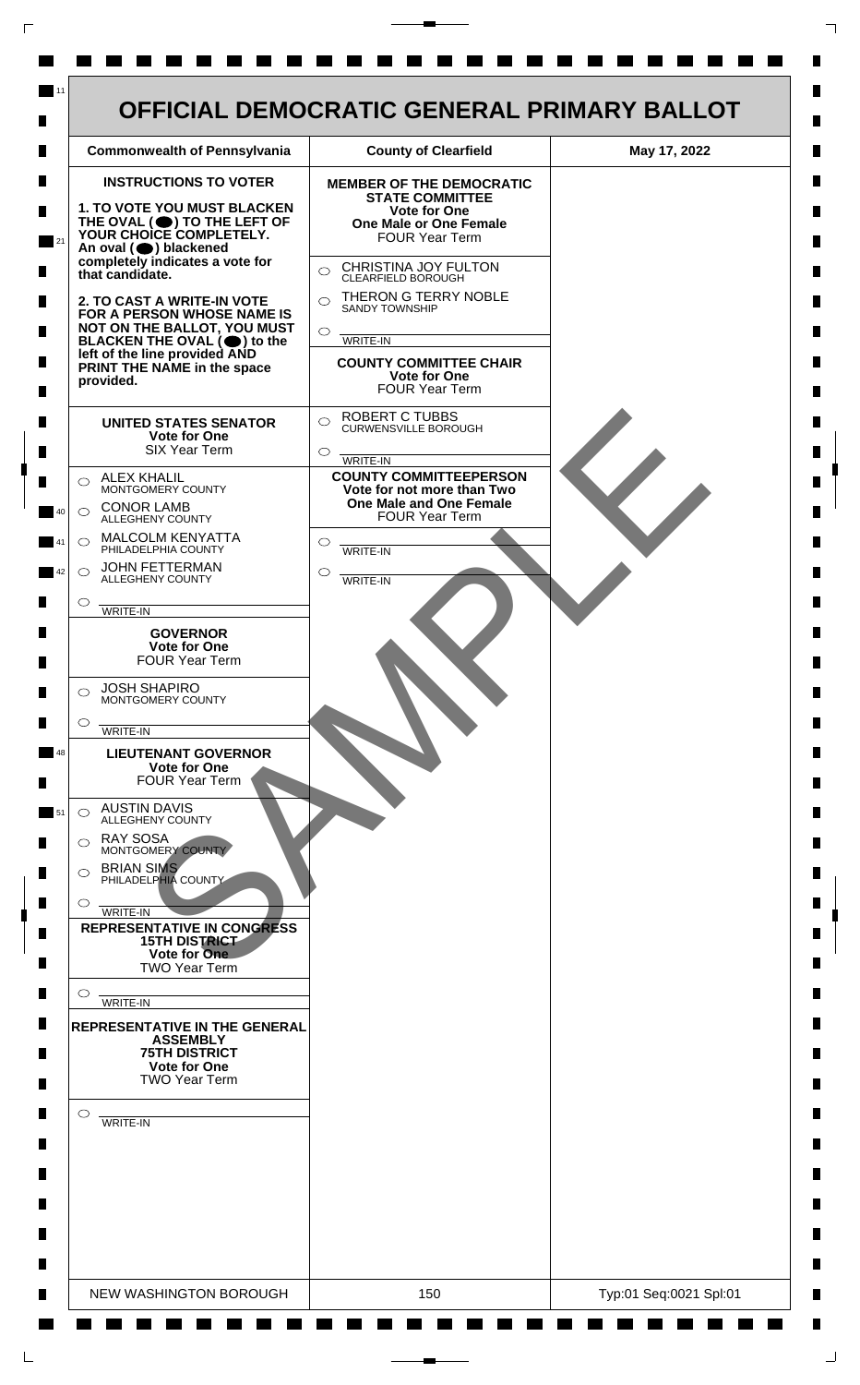| <b>Commonwealth of Pennsylvania</b>                                                                                                                                                                                                                                                                                                                                                                                                                                                                                                                                                                                                                                                                                                                                                                                                                                                                                                                                                                                                                                                                                                                                                                                                                                                                                                                                                                                                      | <b>County of Clearfield</b>                                                                                                                                                                                                                                                                                                                                                                                                                                                                                                                                                                                                             | May 17, 2022 |
|------------------------------------------------------------------------------------------------------------------------------------------------------------------------------------------------------------------------------------------------------------------------------------------------------------------------------------------------------------------------------------------------------------------------------------------------------------------------------------------------------------------------------------------------------------------------------------------------------------------------------------------------------------------------------------------------------------------------------------------------------------------------------------------------------------------------------------------------------------------------------------------------------------------------------------------------------------------------------------------------------------------------------------------------------------------------------------------------------------------------------------------------------------------------------------------------------------------------------------------------------------------------------------------------------------------------------------------------------------------------------------------------------------------------------------------|-----------------------------------------------------------------------------------------------------------------------------------------------------------------------------------------------------------------------------------------------------------------------------------------------------------------------------------------------------------------------------------------------------------------------------------------------------------------------------------------------------------------------------------------------------------------------------------------------------------------------------------------|--------------|
| <b>INSTRUCTIONS TO VOTER</b><br><b>1. TO VOTE YOU MUST BLACKEN</b><br>THE OVAL (O) TO THE LEFT OF YOUR CHOICE COMPLETELY.<br>An oval (O) blackened<br>completely indicates a vote for<br>that candidate.<br>2. TO CAST A WRITE-IN VOTE<br>FOR A PERSON WHOSE NAME IS<br>NOT ON THE BALLOT, YOU MUST<br>BLACKEN THE OVAL $(\bigcirc)$ to the<br>left of the line provided AND<br>PRINT THE NAME in the space<br>provided.<br><b>UNITED STATES SENATOR</b><br>Vote for One<br><b>SIX Year Term</b><br><b>ALEX KHALIL</b><br>◯<br>MONTGOMERY COUNTY<br><b>CONOR LAMB</b><br>$\bigcirc$<br>ALLEGHENY COUNTY<br>MALCOLM KENYATTA<br>$\bigcirc$<br>PHILADELPHIA COUNTY<br><b>JOHN FETTERMAN</b><br>$\bigcirc$<br>ALLEGHENY COUNTY<br>$\circ$<br>WRITE-IN<br><b>GOVERNOR</b><br><b>Vote for One</b><br><b>FOUR Year Term</b><br><b>JOSH SHAPIRO</b><br>⌒<br>MONTGOMERY COUNTY<br>$\circ$<br>WRITE-IN<br><b>LIEUTENANT GOVERNOR</b><br><b>Vote for One</b><br><b>FOUR Year Term</b><br><b>AUSTIN DAVIS</b><br>$\bigcirc$<br>ALLEGHENY COUNTY<br><b>RAY SOSA</b><br>◯<br>MONTGOMERY COUNTY<br><b>BRIAN SIMS</b><br>$\circ$<br>PHILADELPHIA COUNTY<br>$\circ$<br>WRITE-IN<br><b>REPRESENTATIVE IN CONGRESS</b><br><b>15TH DISTRICT</b><br>Vote for One<br><b>TWO Year Term</b><br>$\circ$<br>WRITE-IN<br><b>REPRESENTATIVE IN THE GENERAL</b><br><b>ASSEMBLY</b><br><b>75TH DISTRICT</b><br><b>Vote for One</b><br><b>TWO Year Term</b><br>$\circ$ | <b>MEMBER OF THE DEMOCRATIC</b><br><b>STATE COMMITTEE</b><br>Vote for One<br><b>One Male or One Female</b><br><b>FOUR Year Term</b><br>CHRISTINA JOY FULTON<br>$\bigcirc$<br>CLEARFIELD BOROUGH<br>THERON G TERRY NOBLE<br>$\bigcap$<br><b>SANDY TOWNSHIP</b><br>$\bigcirc$<br>WRITE-IN<br><b>COUNTY COMMITTEE CHAIR</b><br><b>Vote for One</b><br><b>FOUR Year Term</b><br><b>ROBERT C TUBBS</b><br>$\bigcirc$<br><b>CURWENSVILLE BOROUGH</b><br>$\circ$<br>WRITE-IN<br><b>COUNTY COMMITTEEPERSON</b><br>Vote for not more than Two<br>One Male and One Female<br><b>FOUR Year Term</b><br>$\circ$<br><b>WRITE-IN</b><br>O<br>WRITE-IN |              |
| WRITE-IN                                                                                                                                                                                                                                                                                                                                                                                                                                                                                                                                                                                                                                                                                                                                                                                                                                                                                                                                                                                                                                                                                                                                                                                                                                                                                                                                                                                                                                 |                                                                                                                                                                                                                                                                                                                                                                                                                                                                                                                                                                                                                                         |              |

 $\Gamma$ 

 $\Box$ 

 $\overline{\phantom{a}}$